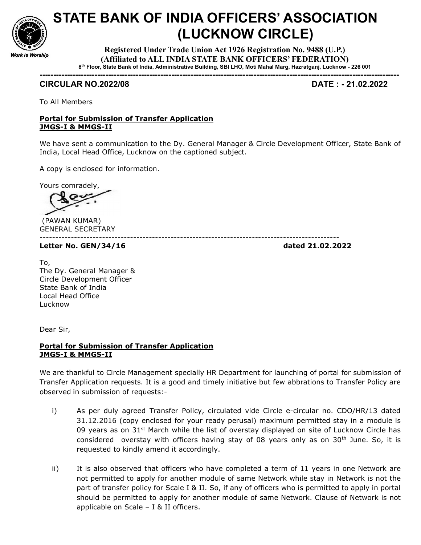

## STATE BANK OF INDIA OFFICERS' ASSOCIATION (LUCKNOW CIRCLE)

Registered Under Trade Union Act 1926 Registration No. 9488 (U.P.) (Affiliated to ALL INDIA STATE BANK OFFICERS' FEDERATION) 8 th Floor, State Bank of India, Administrative Building, SBI LHO, Moti Mahal Marg, Hazratganj, Lucknow - 226 001

-----------------------------------------------------------------------------------------------------------------------------------

## CIRCULAR NO.2022/08 DATE : - 21.02.2022

To All Members

## Portal for Submission of Transfer Application JMGS-I & MMGS-II

We have sent a communication to the Dy. General Manager & Circle Development Officer, State Bank of India, Local Head Office, Lucknow on the captioned subject.

------------------------------------------------------------------------------------------------

A copy is enclosed for information.

Yours comradely,

 (PAWAN KUMAR) GENERAL SECRETARY

Letter No. GEN/34/16 dated 21.02.2022

To, The Dy. General Manager & Circle Development Officer State Bank of India Local Head Office Lucknow

Dear Sir,

## Portal for Submission of Transfer Application JMGS-I & MMGS-II

We are thankful to Circle Management specially HR Department for launching of portal for submission of Transfer Application requests. It is a good and timely initiative but few abbrations to Transfer Policy are observed in submission of requests:-

- i) As per duly agreed Transfer Policy, circulated vide Circle e-circular no. CDO/HR/13 dated 31.12.2016 (copy enclosed for your ready perusal) maximum permitted stay in a module is 09 years as on  $31<sup>st</sup>$  March while the list of overstay displayed on site of Lucknow Circle has considered overstay with officers having stay of 08 years only as on  $30<sup>th</sup>$  June. So, it is requested to kindly amend it accordingly.
- ii) It is also observed that officers who have completed a term of 11 years in one Network are not permitted to apply for another module of same Network while stay in Network is not the part of transfer policy for Scale I & II. So, if any of officers who is permitted to apply in portal should be permitted to apply for another module of same Network. Clause of Network is not applicable on Scale – I & II officers.